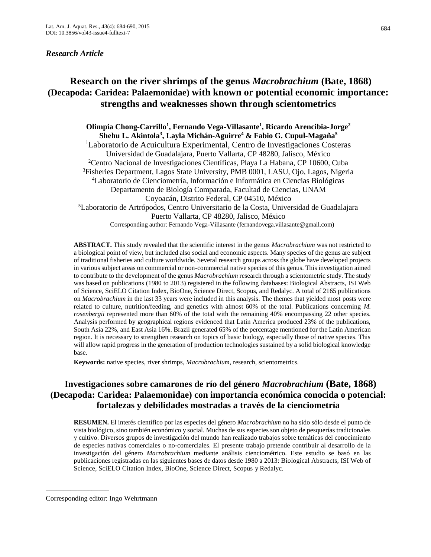### *Research Article*

# **Research on the river shrimps of the genus** *Macrobrachium* **(Bate, 1868) (Decapoda: Caridea: Palaemonidae) with known or potential economic importance: strengths and weaknesses shown through scientometrics**

**Olimpia Chong-Carrillo<sup>1</sup> , Fernando Vega-Villasante<sup>1</sup> , Ricardo Arencibia-Jorge<sup>2</sup> Shehu L. Akintola<sup>3</sup> , Layla Michán-Aguirre<sup>4</sup> & Fabio G. Cupul-Magaña<sup>5</sup>** <sup>1</sup>Laboratorio de Acuicultura Experimental, Centro de Investigaciones Costeras Universidad de Guadalajara, Puerto Vallarta, CP 48280, Jalisco, México <sup>2</sup>Centro Nacional de Investigaciones Científicas, Playa La Habana, CP 10600, Cuba <sup>3</sup>Fisheries Department, Lagos State University, PMB 0001, LASU, Ojo, Lagos, Nigeria <sup>4</sup>Laboratorio de Cienciometría, Información e Informática en Ciencias Biológicas Departamento de Biología Comparada, Facultad de Ciencias, UNAM Coyoacán, Distrito Federal, CP 04510, México <sup>5</sup>Laboratorio de Artrópodos, Centro Universitario de la Costa, Universidad de Guadalajara Puerto Vallarta, CP 48280, Jalisco, México Corresponding author: Fernando Vega-Villasante (fernandovega.villasante@gmail.com)

**ABSTRACT.** This study revealed that the scientific interest in the genus *Macrobrachium* was not restricted to a biological point of view, but included also social and economic aspects. Many species of the genus are subject of traditional fisheries and culture worldwide. Several research groups across the globe have developed projects in various subject areas on commercial or non-commercial native species of this genus. This investigation aimed to contribute to the development of the genus *Macrobrachium* research through a scientometric study. The study was based on publications (1980 to 2013) registered in the following databases: Biological Abstracts, ISI Web of Science, SciELO Citation Index, BioOne, Science Direct, Scopus, and Redalyc. A total of 2165 publications on *Macrobrachium* in the last 33 years were included in this analysis. The themes that yielded most posts were related to culture, nutrition/feeding, and genetics with almost 60% of the total. Publications concerning *M. rosenbergii* represented more than 60% of the total with the remaining 40% encompassing 22 other species. Analysis performed by geographical regions evidenced that Latin America produced 23% of the publications, South Asia 22%, and East Asia 16%. Brazil generated 65% of the percentage mentioned for the Latin American region. It is necessary to strengthen research on topics of basic biology, especially those of native species. This will allow rapid progress in the generation of production technologies sustained by a solid biological knowledge base.

**Keywords:** native species, river shrimps, *Macrobrachium*, research, scientometrics.

## **Investigaciones sobre camarones de río del género** *Macrobrachium* **(Bate, 1868) (Decapoda: Caridea: Palaemonidae) con importancia económica conocida o potencial: fortalezas y debilidades mostradas a través de la cienciometría**

**RESUMEN.** El interés científico por las especies del género *Macrobrachium* no ha sido sólo desde el punto de vista biológico, sino también económico y social. Muchas de sus especies son objeto de pesquerías tradicionales y cultivo. Diversos grupos de investigación del mundo han realizado trabajos sobre temáticas del conocimiento de especies nativas comerciales o no-comerciales. El presente trabajo pretende contribuir al desarrollo de la investigación del género *Macrobrachium* mediante análisis cienciométrico. Este estudio se basó en las publicaciones registradas en las siguientes bases de datos desde 1980 a 2013: Biological Abstracts, ISI Web of Science, SciELO Citation Index, BioOne, Science Direct, Scopus y Redalyc.

\_\_\_\_\_\_\_\_\_\_\_\_\_\_\_\_\_\_

Corresponding editor: Ingo Wehrtmann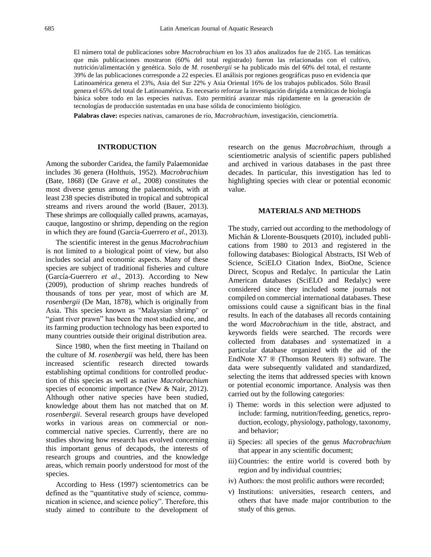El número total de publicaciones sobre *Macrobrachium* en los 33 años analizados fue de 2165. Las temáticas que más publicaciones mostraron (60% del total registrado) fueron las relacionadas con el cultivo, nutrición/alimentación y genética. Solo de *M. rosenbergii* se ha publicado más del 60% del total, el restante 39% de las publicaciones corresponde a 22 especies. El análisis por regiones geográficas puso en evidencia que Latinoamérica genera el 23%, Asia del Sur 22% y Asia Oriental 16% de los trabajos publicados. Sólo Brasil genera el 65% del total de Latinoamérica. Es necesario reforzar la investigación dirigida a temáticas de biología básica sobre todo en las especies nativas. Esto permitirá avanzar más rápidamente en la generación de tecnologías de producción sustentadas en una base sólida de conocimiento biológico.

**Palabras clave:** especies nativas, camarones de río, *Macrobrachium*, investigación, cienciometría.

#### **INTRODUCTION**

Among the suborder Caridea, the family Palaemonidae includes 36 genera (Holthuis, 1952). *Macrobrachium*  (Bate, 1868) (De Grave *et al*., 2008) constitutes the most diverse genus among the palaemonids, with at least 238 species distributed in tropical and subtropical streams and rivers around the world (Bauer, 2013). These shrimps are colloquially called prawns, acamayas, cauque, langostino or shrimp, depending on the region in which they are found (García-Guerrero *et al*., 2013).

The scientific interest in the genus *Macrobrachium*  is not limited to a biological point of view, but also includes social and economic aspects. Many of these species are subject of traditional fisheries and culture (García-Guerrero *et al*., 2013). According to New (2009), production of shrimp reaches hundreds of thousands of tons per year, most of which are *M. rosenbergii* (De Man, 1878), which is originally from Asia. This species known as "Malaysian shrimp" or "giant river prawn" has been the most studied one, and its farming production technology has been exported to many countries outside their original distribution area.

Since 1980, when the first meeting in Thailand on the culture of *M. rosenbergii* was held, there has been increased scientific research directed towards establishing optimal conditions for controlled production of this species as well as native *Macrobrachium*  species of economic importance (New & Nair, 2012). Although other native species have been studied, knowledge about them has not matched that on *M. rosenbergii*. Several research groups have developed works in various areas on commercial or noncommercial native species. Currently, there are no studies showing how research has evolved concerning this important genus of decapods, the interests of research groups and countries, and the knowledge areas, which remain poorly understood for most of the species.

According to Hess (1997) scientometrics can be defined as the "quantitative study of science, communication in science, and science policy". Therefore, this study aimed to contribute to the development of research on the genus *Macrobrachium*, through a scientiometric analysis of scientific papers published and archived in various databases in the past three decades. In particular, this investigation has led to highlighting species with clear or potential economic value.

#### **MATERIALS AND METHODS**

The study, carried out according to the methodology of Michán & Llorente-Bousquets (2010), included publications from 1980 to 2013 and registered in the following databases: Biological Abstracts, ISI Web of Science, SciELO Citation Index, BioOne, Science Direct, Scopus and Redalyc. In particular the Latin American databases (SciELO and Redalyc) were considered since they included some journals not compiled on commercial international databases. These omissions could cause a significant bias in the final results. In each of the databases all records containing the word *Macrobrachium* in the title, abstract, and keywords fields were searched. The records were collected from databases and systematized in a particular database organized with the aid of the EndNote X7 ® (Thomson Reuters ®) software. The data were subsequently validated and standardized, selecting the items that addressed species with known or potential economic importance. Analysis was then carried out by the following categories:

- i) Theme: words in this selection were adjusted to include: farming, nutrition/feeding, genetics, reproduction, ecology, physiology, pathology, taxonomy, and behavior;
- ii) Species: all species of the genus *Macrobrachium*  that appear in any scientific document;
- iii) Countries: the entire world is covered both by region and by individual countries;
- iv) Authors: the most prolific authors were recorded;
- v) Institutions: universities, research centers, and others that have made major contribution to the study of this genus.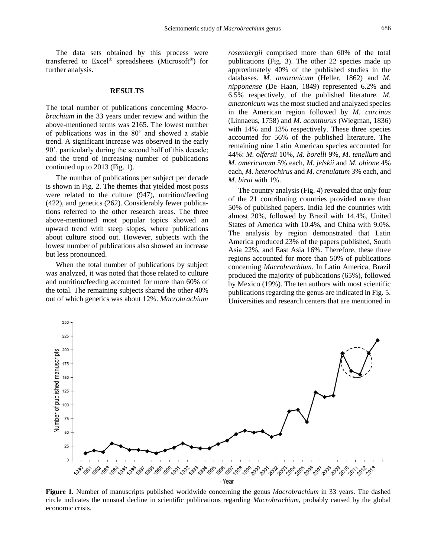686

The data sets obtained by this process were transferred to Excel® spreadsheets (Microsoft®) for further analysis.

#### **RESULTS**

The total number of publications concerning *Macrobrachium* in the 33 years under review and within the above-mentioned terms was 2165. The lowest number of publications was in the 80' and showed a stable trend. A significant increase was observed in the early 90', particularly during the second half of this decade; and the trend of increasing number of publications continued up to 2013 (Fig. 1).

The number of publications per subject per decade is shown in Fig. 2. The themes that yielded most posts were related to the culture (947), nutrition/feeding (422), and genetics (262). Considerably fewer publications referred to the other research areas. The three above-mentioned most popular topics showed an upward trend with steep slopes, where publications about culture stood out. However, subjects with the lowest number of publications also showed an increase but less pronounced.

When the total number of publications by subject was analyzed, it was noted that those related to culture and nutrition/feeding accounted for more than 60% of the total. The remaining subjects shared the other 40% out of which genetics was about 12%. *Macrobrachium* 

*rosenbergii* comprised more than 60% of the total publications (Fig. 3). The other 22 species made up approximately 40% of the published studies in the databases. *M. amazonicum* (Heller, 1862) and *M. nipponense* (De Haan, 1849) represented 6.2% and 6.5% respectively, of the published literature. *M. amazonicum* was the most studied and analyzed species in the American region followed by *M. carcinus*  (Linnaeus, 1758) and *M. acanthurus* (Wiegman, 1836) with 14% and 13% respectively. These three species accounted for 56% of the published literature. The remaining nine Latin American species accounted for 44%: *M. olfersii* 10%, *M. borelli* 9%, *M. tenellum* and *M. americanum* 5% each, *M. jelskii* and *M. ohione* 4% each, *M. heterochirus* and *M. crenulatum* 3% each, and *M. birai* with 1%.

The country analysis (Fig. 4) revealed that only four of the 21 contributing countries provided more than 50% of published papers. India led the countries with almost 20%, followed by Brazil with 14.4%, United States of America with 10.4%, and China with 9.0%. The analysis by region demonstrated that Latin America produced 23% of the papers published, South Asia 22%, and East Asia 16%. Therefore, these three regions accounted for more than 50% of publications concerning *Macrobrachium*. In Latin America, Brazil produced the majority of publications (65%), followed by Mexico (19%). The ten authors with most scientific publications regarding the genus are indicated in Fig. 5. Universities and research centers that are mentioned in



**Figure 1.** Number of manuscripts published worldwide concerning the genus *Macrobrachium* in 33 years. The dashed circle indicates the unusual decline in scientific publications regarding *Macrobrachium*, probably caused by the global economic crisis.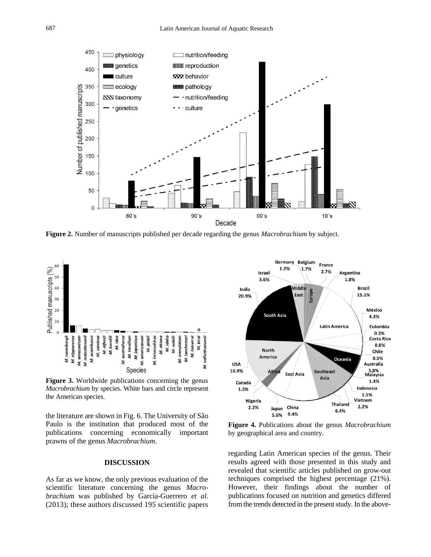

**Figure 2.** Number of manuscripts published per decade regarding the genus *Macrobrachium* by subject.



**Figure 3.** Worldwide publications concerning the genus *Macrobrachium* by species. White bars and circle represent the American species.

the literature are shown in Fig. 6. The University of São Paulo is the institution that produced most of the publications concerning economically important prawns of the genus *Macrobrachium.*

#### **DISCUSSION**

As far as we know, the only previous evaluation of the scientific literature concerning the genus *Macrobrachium* was published by García-Guerrero *et al.* (2013); these authors discussed 195 scientific papers



**Figure 4.** Publications about the genus *Macrobrachium*  by geographical area and country.

regarding Latin American species of the genus. Their results agreed with those presented in this study and revealed that scientific articles published on grow-out techniques comprised the highest percentage (21%). However, their findings about the number of publications focused on nutrition and genetics differed from the trends detected in the present study. In the above-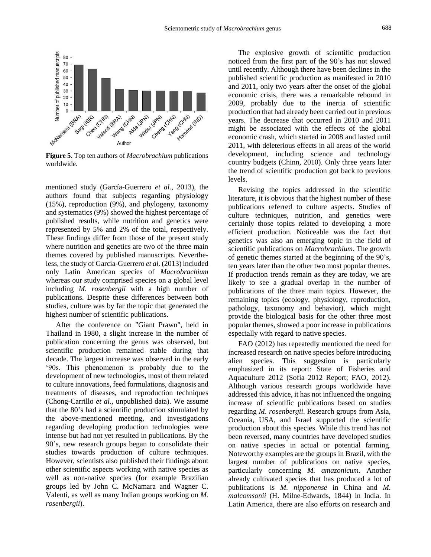

**Figure 5**. Top ten authors of *Macrobrachium* publications worldwide.

mentioned study (García-Guerrero *et al.*, 2013), the authors found that subjects regarding physiology (15%), reproduction (9%), and phylogeny, taxonomy and systematics (9%) showed the highest percentage of published results, while nutrition and genetics were represented by 5% and 2% of the total, respectively. These findings differ from those of the present study where nutrition and genetics are two of the three main themes covered by published manuscripts. Nevertheless, the study of García-Guerrero *et al*. (2013) included only Latin American species of *Macrobrachium*  whereas our study comprised species on a global level including *M. rosenbergii* with a high number of publications. Despite these differences between both studies, culture was by far the topic that generated the highest number of scientific publications.

After the conference on "Giant Prawn", held in Thailand in 1980, a slight increase in the number of publication concerning the genus was observed, but scientific production remained stable during that decade. The largest increase was observed in the early '90s. This phenomenon is probably due to the development of new technologies, most of them related to culture innovations, feed formulations, diagnosis and treatments of diseases, and reproduction techniques (Chong-Carrillo *et al.*, unpublished data). We assume that the 80's had a scientific production stimulated by the above-mentioned meeting, and investigations regarding developing production technologies were intense but had not yet resulted in publications. By the 90's, new research groups began to consolidate their studies towards production of culture techniques. However, scientists also published their findings about other scientific aspects working with native species as well as non-native species (for example Brazilian groups led by John C. McNamara and Wagner C. Valenti, as well as many Indian groups working on *M. rosenbergii*).

The explosive growth of scientific production noticed from the first part of the 90's has not slowed until recently. Although there have been declines in the published scientific production as manifested in 2010 and 2011, only two years after the onset of the global economic crisis, there was a remarkable rebound in 2009, probably due to the inertia of scientific production that had already been carried out in previous years. The decrease that occurred in 2010 and 2011 might be associated with the effects of the global economic crash, which started in 2008 and lasted until 2011, with deleterious effects in all areas of the world development, including science and technology country budgets (Chinn, 2010). Only three years later the trend of scientific production got back to previous levels.

Revising the topics addressed in the scientific literature, it is obvious that the highest number of these publications referred to culture aspects. Studies of culture techniques, nutrition, and genetics were certainly those topics related to developing a more efficient production. Noticeable was the fact that genetics was also an emerging topic in the field of scientific publications on *Macrobrachium*. The growth of genetic themes started at the beginning of the 90's, ten years later than the other two most popular themes. If production trends remain as they are today, we are likely to see a gradual overlap in the number of publications of the three main topics. However, the remaining topics (ecology, physiology, reproduction, pathology, taxonomy and behavior), which might provide the biological basis for the other three most popular themes, showed a poor increase in publications especially with regard to native species.

FAO (2012) has repeatedly mentioned the need for increased research on native species before introducing alien species. This suggestion is particularly emphasized in its report: State of Fisheries and Aquaculture 2012 (Sofia 2012 Report; FAO, 2012). Although various research groups worldwide have addressed this advice, it has not influenced the ongoing increase of scientific publications based on studies regarding *M. rosenbergii*. Research groups from Asia, Oceania, USA, and Israel supported the scientific production about this species. While this trend has not been reversed, many countries have developed studies on native species in actual or potential farming. Noteworthy examples are the groups in Brazil, with the largest number of publications on native species, particularly concerning *M. amazonicum*. Another already cultivated species that has produced a lot of publications is *M. nipponense* in China and *M. malcomsonii* (H. Milne-Edwards, 1844) in India. In Latin America, there are also efforts on research and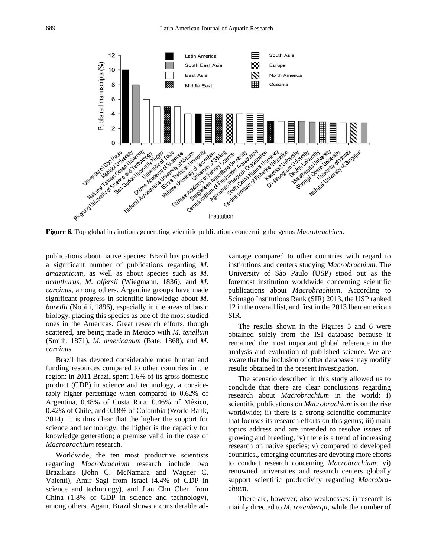

publications about native species: Brazil has provided a significant number of publications regarding *M. amazonicum*, as well as about species such as *M. acanthurus*, *M. olfersii* (Wiegmann, 1836), and *M. carcinus*, among others. Argentine groups have made significant progress in scientific knowledge about *M. borellii* (Nobili, 1896), especially in the areas of basic biology, placing this species as one of the most studied ones in the Americas. Great research efforts, though scattered, are being made in Mexico with *M. tenellum* (Smith, 1871), *M. americanum* (Bate, 1868), and *M. carcinus*.

Brazil has devoted considerable more human and funding resources compared to other countries in the region: in 2011 Brazil spent 1.6% of its gross domestic product (GDP) in science and technology, a considerably higher percentage when compared to 0.62% of Argentina, 0.48% of Costa Rica, 0.46% of México, 0.42% of Chile, and 0.18% of Colombia (World Bank, 2014). It is thus clear that the higher the support for science and technology, the higher is the capacity for knowledge generation; a premise valid in the case of *Macrobrachium* research.

Worldwide, the ten most productive scientists regarding *Macrobrachium* research include two Brazilians (John C. McNamara and Wagner C. Valenti), Amir Sagi from Israel (4.4% of GDP in science and technology), and Jian Chu Chen from China (1.8% of GDP in science and technology), among others. Again, Brazil shows a considerable advantage compared to other countries with regard to institutions and centers studying *Macrobrachium*. The University of São Paulo (USP) stood out as the foremost institution worldwide concerning scientific publications about *Macrobrachium*. According to Scimago Institutions Rank (SIR) 2013, the USP ranked 12 in the overall list, and first in the 2013 Iberoamerican SIR.

The results shown in the Figures 5 and 6 were obtained solely from the ISI database because it remained the most important global reference in the analysis and evaluation of published science. We are aware that the inclusion of other databases may modify results obtained in the present investigation.

The scenario described in this study allowed us to conclude that there are clear conclusions regarding research about *Macrobrachium* in the world: i) scientific publications on *Macrobrachium* is on the rise worldwide; ii) there is a strong scientific community that focuses its research efforts on this genus; iii) main topics address and are intended to resolve issues of growing and breeding; iv) there is a trend of increasing research on native species; v) compared to developed countries,, emerging countries are devoting more efforts to conduct research concerning *Macrobrachium*; vi) renowned universities and research centers globally support scientific productivity regarding *Macrobrachium*.

There are, however, also weaknesses: i) research is mainly directed to *M. rosenbergii*, while the number of